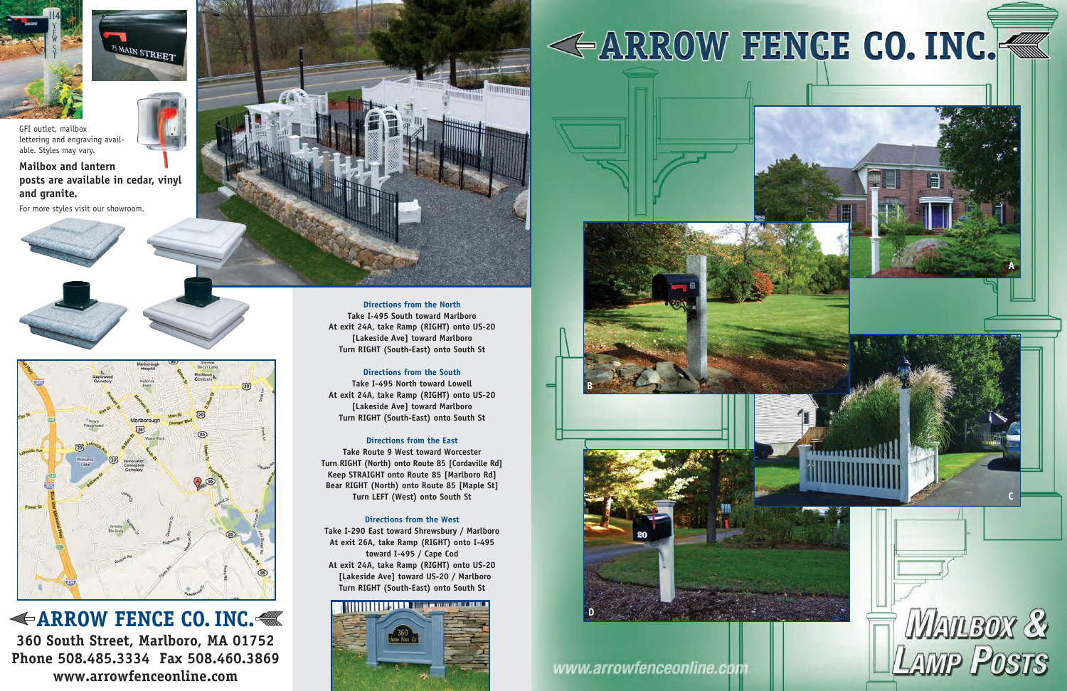## **ARROW FENCE CO. INC.**

**360 South Street, Marlboro, MA 01752 Phone 508.485.3334 Fax 508.460.3869 www.arrowfenceonline.com**

**Directions from the North Take I-495 South toward Marlboro At exit 24A, take Ramp (RIGHT) onto US-20 [Lakeside Ave] toward Marlboro Turn RIGHT (South-East) onto South St** 

#### **Directions from the South**

**Take I-495 North toward Lowell At exit 24A, take Ramp (RIGHT) onto US-20 [Lakeside Ave] toward Marlboro Turn RIGHT (South-East) onto South St** 

#### **Directions from the East**

**Take Route 9 West toward Worcester Turn RIGHT (North) onto Route 85 [Cordaville Rd] Keep STRAIGHT onto Route 85 [Marlboro Rd] Bear RIGHT (North) onto Route 85 [Maple St] Turn LEFT (West) onto South St** 

#### **Directions from the West**

**Take I-290 East toward Shrewsbury / Marlboro At exit 26A, take Ramp (RIGHT) onto I-495 toward I-495 / Cape Cod At exit 24A, take Ramp (RIGHT) onto US-20 [Lakeside Ave] toward US-20 / Marlboro Turn RIGHT (South-East) onto South St**





## www.arrowfenceonline.com







GFI outlet, mailbox lettering and engraving available. Styles may vary.

### **Mailbox and lantern posts are available in cedar, vinyl and granite.**

For more styles visit our showroom.